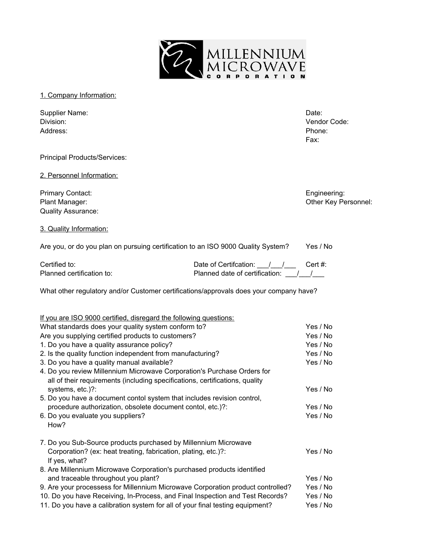

1. Company Information:

| Supplier Name: | Date:  |
|----------------|--------|
| Division:      | Vendor |
| Address:       | Phone: |

Vendor Code: Fax:

Principal Products/Services:

2. Personnel Information:

Primary Contact: Engineering: Engineering: Engineering: Plant Manager: Contract Contract Contract Contract Contract Contract Contract Contract Contract Contract Contract Contract Contract Contract Contract Contract Contract Contract Contract Contract Contract Contract Contract Quality Assurance:

3. Quality Information:

| Are you, or do you plan on pursuing certification to an ISO 9000 Quality System? |  |  | Yes / No |
|----------------------------------------------------------------------------------|--|--|----------|
|----------------------------------------------------------------------------------|--|--|----------|

Certified to: Certified to: Date of Certifcation: <u>\_\_\_\_/\_\_\_\_</u> Cert #: Planned certification to: Planned date of certification: \_\_\_/\_\_\_/\_\_\_

What other regulatory and/or Customer certifications/approvals does your company have?

| If you are ISO 9000 certified, disregard the following questions:               |          |
|---------------------------------------------------------------------------------|----------|
| What standards does your quality system conform to?                             | Yes / No |
| Are you supplying certified products to customers?                              | Yes / No |
| 1. Do you have a quality assurance policy?                                      | Yes / No |
| 2. Is the quality function independent from manufacturing?                      | Yes / No |
| 3. Do you have a quality manual available?                                      | Yes / No |
| 4. Do you review Millennium Microwave Corporation's Purchase Orders for         |          |
| all of their requirements (including specifications, certifications, quality    |          |
| systems, etc.)?:                                                                | Yes / No |
| 5. Do you have a document contol system that includes revision control,         |          |
| procedure authorization, obsolete document contol, etc.)?:                      | Yes / No |
| 6. Do you evaluate you suppliers?                                               | Yes / No |
| How?                                                                            |          |
| 7. Do you Sub-Source products purchased by Millennium Microwave                 |          |
| Corporation? (ex: heat treating, fabrication, plating, etc.)?:                  | Yes / No |
| If yes, what?                                                                   |          |
| 8. Are Millennium Microwave Corporation's purchased products identified         |          |
| and traceable throughout you plant?                                             | Yes / No |
| 9. Are your processess for Millennium Microwave Corporation product controlled? | Yes / No |
| 10. Do you have Receiving, In-Process, and Final Inspection and Test Records?   | Yes / No |
| 11. Do you have a calibration system for all of your final testing equipment?   | Yes / No |